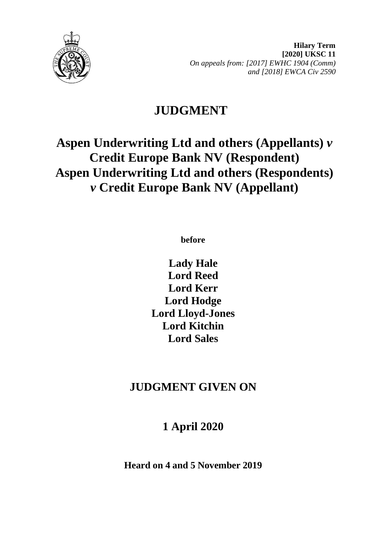

**Hilary Term [2020] UKSC 11** *On appeals from: [2017] EWHC 1904 (Comm) and [2018] EWCA Civ 2590*

# **JUDGMENT**

# **Aspen Underwriting Ltd and others (Appellants)** *v* **Credit Europe Bank NV (Respondent) Aspen Underwriting Ltd and others (Respondents)** *v* **Credit Europe Bank NV (Appellant)**

**before** 

**Lady Hale Lord Reed Lord Kerr Lord Hodge Lord Lloyd-Jones Lord Kitchin Lord Sales**

## **JUDGMENT GIVEN ON**

## **1 April 2020**

**Heard on 4 and 5 November 2019**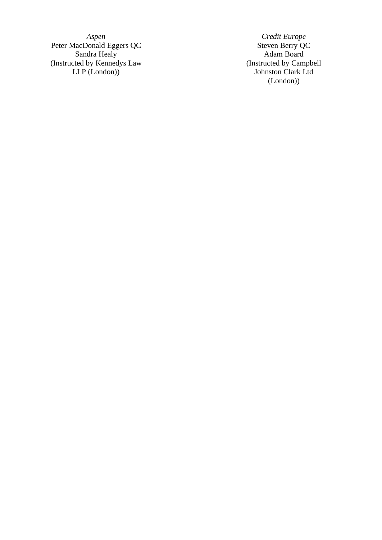Peter MacDonald Eggers QC  $\,$  Steven Berry QC  $\,$ Sandra Healy **Adam Board Adam Board** (Instructed by Kennedys Law LLP (London ) )

*Aspen Credit Europe* (Instructed by Campbell Johnston Clark Ltd (London))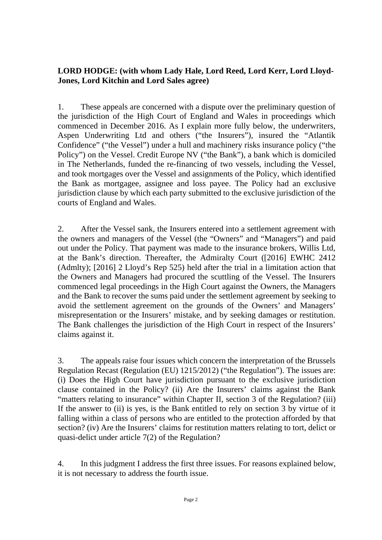## **LORD HODGE: (with whom Lady Hale, Lord Reed, Lord Kerr, Lord Lloyd-Jones, Lord Kitchin and Lord Sales agree)**

1. These appeals are concerned with a dispute over the preliminary question of the jurisdiction of the High Court of England and Wales in proceedings which commenced in December 2016. As I explain more fully below, the underwriters, Aspen Underwriting Ltd and others ("the Insurers"), insured the "Atlantik Confidence" ("the Vessel") under a hull and machinery risks insurance policy ("the Policy") on the Vessel. Credit Europe NV ("the Bank"), a bank which is domiciled in The Netherlands, funded the re-financing of two vessels, including the Vessel, and took mortgages over the Vessel and assignments of the Policy, which identified the Bank as mortgagee, assignee and loss payee. The Policy had an exclusive jurisdiction clause by which each party submitted to the exclusive jurisdiction of the courts of England and Wales.

2. After the Vessel sank, the Insurers entered into a settlement agreement with the owners and managers of the Vessel (the "Owners" and "Managers") and paid out under the Policy. That payment was made to the insurance brokers, Willis Ltd, at the Bank's direction. Thereafter, the Admiralty Court ([2016] EWHC 2412 (Admlty); [2016] 2 Lloyd's Rep 525) held after the trial in a limitation action that the Owners and Managers had procured the scuttling of the Vessel. The Insurers commenced legal proceedings in the High Court against the Owners, the Managers and the Bank to recover the sums paid under the settlement agreement by seeking to avoid the settlement agreement on the grounds of the Owners' and Managers' misrepresentation or the Insurers' mistake, and by seeking damages or restitution. The Bank challenges the jurisdiction of the High Court in respect of the Insurers' claims against it.

3. The appeals raise four issues which concern the interpretation of the Brussels Regulation Recast (Regulation (EU) 1215/2012) ("the Regulation"). The issues are: (i) Does the High Court have jurisdiction pursuant to the exclusive jurisdiction clause contained in the Policy? (ii) Are the Insurers' claims against the Bank "matters relating to insurance" within Chapter II, section 3 of the Regulation? (iii) If the answer to (ii) is yes, is the Bank entitled to rely on section 3 by virtue of it falling within a class of persons who are entitled to the protection afforded by that section? (iv) Are the Insurers' claims for restitution matters relating to tort, delict or quasi-delict under article 7(2) of the Regulation?

4. In this judgment I address the first three issues. For reasons explained below, it is not necessary to address the fourth issue.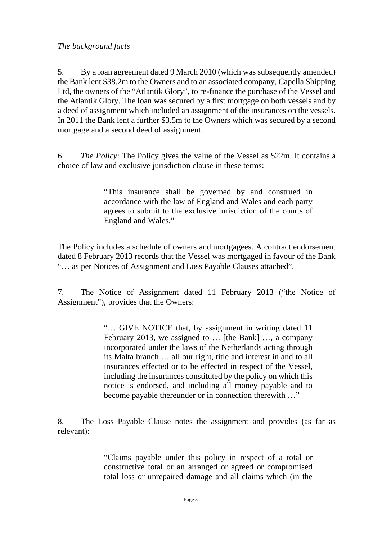5. By a loan agreement dated 9 March 2010 (which was subsequently amended) the Bank lent \$38.2m to the Owners and to an associated company, Capella Shipping Ltd, the owners of the "Atlantik Glory", to re-finance the purchase of the Vessel and the Atlantik Glory. The loan was secured by a first mortgage on both vessels and by a deed of assignment which included an assignment of the insurances on the vessels. In 2011 the Bank lent a further \$3.5m to the Owners which was secured by a second mortgage and a second deed of assignment.

6. *The Policy*: The Policy gives the value of the Vessel as \$22m. It contains a choice of law and exclusive jurisdiction clause in these terms:

> "This insurance shall be governed by and construed in accordance with the law of England and Wales and each party agrees to submit to the exclusive jurisdiction of the courts of England and Wales."

The Policy includes a schedule of owners and mortgagees. A contract endorsement dated 8 February 2013 records that the Vessel was mortgaged in favour of the Bank "… as per Notices of Assignment and Loss Payable Clauses attached".

7. The Notice of Assignment dated 11 February 2013 ("the Notice of Assignment"), provides that the Owners:

> "… GIVE NOTICE that, by assignment in writing dated 11 February 2013, we assigned to … [the Bank] …, a company incorporated under the laws of the Netherlands acting through its Malta branch … all our right, title and interest in and to all insurances effected or to be effected in respect of the Vessel, including the insurances constituted by the policy on which this notice is endorsed, and including all money payable and to become payable thereunder or in connection therewith …"

8. The Loss Payable Clause notes the assignment and provides (as far as relevant):

> "Claims payable under this policy in respect of a total or constructive total or an arranged or agreed or compromised total loss or unrepaired damage and all claims which (in the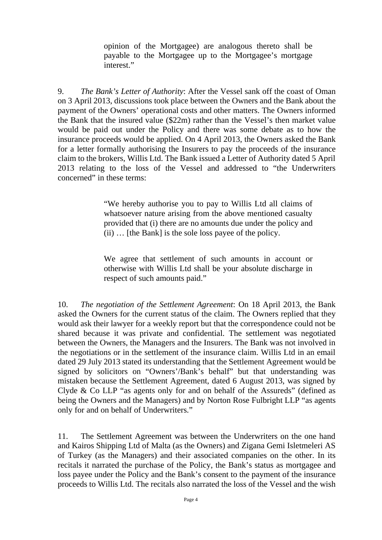opinion of the Mortgagee) are analogous thereto shall be payable to the Mortgagee up to the Mortgagee's mortgage interest."

9. *The Bank's Letter of Authority*: After the Vessel sank off the coast of Oman on 3 April 2013, discussions took place between the Owners and the Bank about the payment of the Owners' operational costs and other matters. The Owners informed the Bank that the insured value (\$22m) rather than the Vessel's then market value would be paid out under the Policy and there was some debate as to how the insurance proceeds would be applied. On 4 April 2013, the Owners asked the Bank for a letter formally authorising the Insurers to pay the proceeds of the insurance claim to the brokers, Willis Ltd. The Bank issued a Letter of Authority dated 5 April 2013 relating to the loss of the Vessel and addressed to "the Underwriters concerned" in these terms:

> "We hereby authorise you to pay to Willis Ltd all claims of whatsoever nature arising from the above mentioned casualty provided that (i) there are no amounts due under the policy and (ii) … [the Bank] is the sole loss payee of the policy.

> We agree that settlement of such amounts in account or otherwise with Willis Ltd shall be your absolute discharge in respect of such amounts paid."

10. *The negotiation of the Settlement Agreement*: On 18 April 2013, the Bank asked the Owners for the current status of the claim. The Owners replied that they would ask their lawyer for a weekly report but that the correspondence could not be shared because it was private and confidential. The settlement was negotiated between the Owners, the Managers and the Insurers. The Bank was not involved in the negotiations or in the settlement of the insurance claim. Willis Ltd in an email dated 29 July 2013 stated its understanding that the Settlement Agreement would be signed by solicitors on "Owners'/Bank's behalf" but that understanding was mistaken because the Settlement Agreement, dated 6 August 2013, was signed by Clyde & Co LLP "as agents only for and on behalf of the Assureds" (defined as being the Owners and the Managers) and by Norton Rose Fulbright LLP "as agents only for and on behalf of Underwriters."

11. The Settlement Agreement was between the Underwriters on the one hand and Kairos Shipping Ltd of Malta (as the Owners) and Zigana Gemi Isletmeleri AS of Turkey (as the Managers) and their associated companies on the other. In its recitals it narrated the purchase of the Policy, the Bank's status as mortgagee and loss payee under the Policy and the Bank's consent to the payment of the insurance proceeds to Willis Ltd. The recitals also narrated the loss of the Vessel and the wish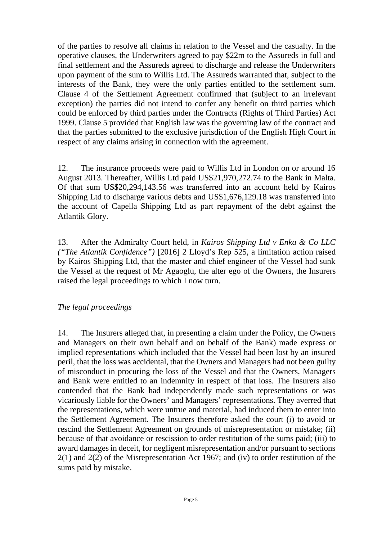of the parties to resolve all claims in relation to the Vessel and the casualty. In the operative clauses, the Underwriters agreed to pay \$22m to the Assureds in full and final settlement and the Assureds agreed to discharge and release the Underwriters upon payment of the sum to Willis Ltd. The Assureds warranted that, subject to the interests of the Bank, they were the only parties entitled to the settlement sum. Clause 4 of the Settlement Agreement confirmed that (subject to an irrelevant exception) the parties did not intend to confer any benefit on third parties which could be enforced by third parties under the Contracts (Rights of Third Parties) Act 1999. Clause 5 provided that English law was the governing law of the contract and that the parties submitted to the exclusive jurisdiction of the English High Court in respect of any claims arising in connection with the agreement.

12. The insurance proceeds were paid to Willis Ltd in London on or around 16 August 2013. Thereafter, Willis Ltd paid US\$21,970,272.74 to the Bank in Malta. Of that sum US\$20,294,143.56 was transferred into an account held by Kairos Shipping Ltd to discharge various debts and US\$1,676,129.18 was transferred into the account of Capella Shipping Ltd as part repayment of the debt against the Atlantik Glory.

13. After the Admiralty Court held, in *Kairos Shipping Ltd v Enka & Co LLC ("The Atlantik Confidence")* [2016] 2 Lloyd's Rep 525, a limitation action raised by Kairos Shipping Ltd, that the master and chief engineer of the Vessel had sunk the Vessel at the request of Mr Agaoglu, the alter ego of the Owners, the Insurers raised the legal proceedings to which I now turn.

### *The legal proceedings*

14. The Insurers alleged that, in presenting a claim under the Policy, the Owners and Managers on their own behalf and on behalf of the Bank) made express or implied representations which included that the Vessel had been lost by an insured peril, that the loss was accidental, that the Owners and Managers had not been guilty of misconduct in procuring the loss of the Vessel and that the Owners, Managers and Bank were entitled to an indemnity in respect of that loss. The Insurers also contended that the Bank had independently made such representations or was vicariously liable for the Owners' and Managers' representations. They averred that the representations, which were untrue and material, had induced them to enter into the Settlement Agreement. The Insurers therefore asked the court (i) to avoid or rescind the Settlement Agreement on grounds of misrepresentation or mistake; (ii) because of that avoidance or rescission to order restitution of the sums paid; (iii) to award damages in deceit, for negligent misrepresentation and/or pursuant to sections 2(1) and 2(2) of the Misrepresentation Act 1967; and (iv) to order restitution of the sums paid by mistake.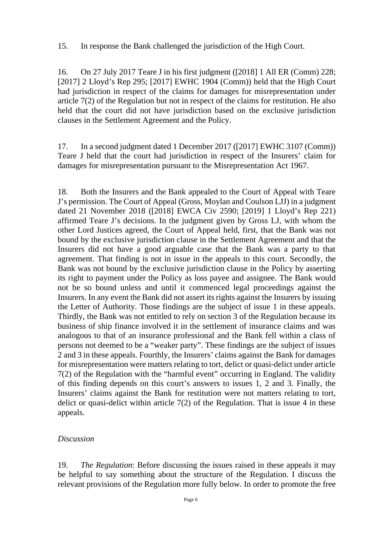15. In response the Bank challenged the jurisdiction of the High Court.

16. On 27 July 2017 Teare J in his first judgment ([2018] 1 All ER (Comm) 228; [2017] 2 Lloyd's Rep 295; [2017] EWHC 1904 (Comm)) held that the High Court had jurisdiction in respect of the claims for damages for misrepresentation under article 7(2) of the Regulation but not in respect of the claims for restitution. He also held that the court did not have jurisdiction based on the exclusive jurisdiction clauses in the Settlement Agreement and the Policy.

17. In a second judgment dated 1 December 2017 ([2017] EWHC 3107 (Comm)) Teare J held that the court had jurisdiction in respect of the Insurers' claim for damages for misrepresentation pursuant to the Misrepresentation Act 1967.

18. Both the Insurers and the Bank appealed to the Court of Appeal with Teare J's permission. The Court of Appeal (Gross, Moylan and Coulson LJJ) in a judgment dated 21 November 2018 ([2018] EWCA Civ 2590; [2019] 1 Lloyd's Rep 221) affirmed Teare J's decisions. In the judgment given by Gross LJ, with whom the other Lord Justices agreed, the Court of Appeal held, first, that the Bank was not bound by the exclusive jurisdiction clause in the Settlement Agreement and that the Insurers did not have a good arguable case that the Bank was a party to that agreement. That finding is not in issue in the appeals to this court. Secondly, the Bank was not bound by the exclusive jurisdiction clause in the Policy by asserting its right to payment under the Policy as loss payee and assignee. The Bank would not be so bound unless and until it commenced legal proceedings against the Insurers. In any event the Bank did not assert its rights against the Insurers by issuing the Letter of Authority. Those findings are the subject of issue 1 in these appeals. Thirdly, the Bank was not entitled to rely on section 3 of the Regulation because its business of ship finance involved it in the settlement of insurance claims and was analogous to that of an insurance professional and the Bank fell within a class of persons not deemed to be a "weaker party". These findings are the subject of issues 2 and 3 in these appeals. Fourthly, the Insurers' claims against the Bank for damages for misrepresentation were matters relating to tort, delict or quasi-delict under article 7(2) of the Regulation with the "harmful event" occurring in England. The validity of this finding depends on this court's answers to issues 1, 2 and 3. Finally, the Insurers' claims against the Bank for restitution were not matters relating to tort, delict or quasi-delict within article 7(2) of the Regulation. That is issue 4 in these appeals.

#### *Discussion*

19. *The Regulation*: Before discussing the issues raised in these appeals it may be helpful to say something about the structure of the Regulation. I discuss the relevant provisions of the Regulation more fully below. In order to promote the free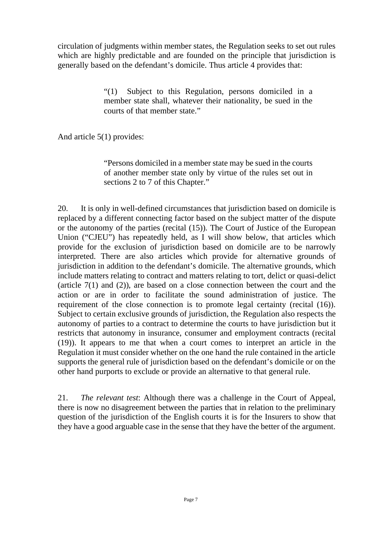circulation of judgments within member states, the Regulation seeks to set out rules which are highly predictable and are founded on the principle that jurisdiction is generally based on the defendant's domicile. Thus article 4 provides that:

> "(1) Subject to this Regulation, persons domiciled in a member state shall, whatever their nationality, be sued in the courts of that member state."

And article 5(1) provides:

"Persons domiciled in a member state may be sued in the courts of another member state only by virtue of the rules set out in sections 2 to 7 of this Chapter."

20. It is only in well-defined circumstances that jurisdiction based on domicile is replaced by a different connecting factor based on the subject matter of the dispute or the autonomy of the parties (recital (15)). The Court of Justice of the European Union ("CJEU") has repeatedly held, as I will show below, that articles which provide for the exclusion of jurisdiction based on domicile are to be narrowly interpreted. There are also articles which provide for alternative grounds of jurisdiction in addition to the defendant's domicile. The alternative grounds, which include matters relating to contract and matters relating to tort, delict or quasi-delict (article 7(1) and (2)), are based on a close connection between the court and the action or are in order to facilitate the sound administration of justice. The requirement of the close connection is to promote legal certainty (recital (16)). Subject to certain exclusive grounds of jurisdiction, the Regulation also respects the autonomy of parties to a contract to determine the courts to have jurisdiction but it restricts that autonomy in insurance, consumer and employment contracts (recital (19)). It appears to me that when a court comes to interpret an article in the Regulation it must consider whether on the one hand the rule contained in the article supports the general rule of jurisdiction based on the defendant's domicile or on the other hand purports to exclude or provide an alternative to that general rule.

21. *The relevant test*: Although there was a challenge in the Court of Appeal, there is now no disagreement between the parties that in relation to the preliminary question of the jurisdiction of the English courts it is for the Insurers to show that they have a good arguable case in the sense that they have the better of the argument.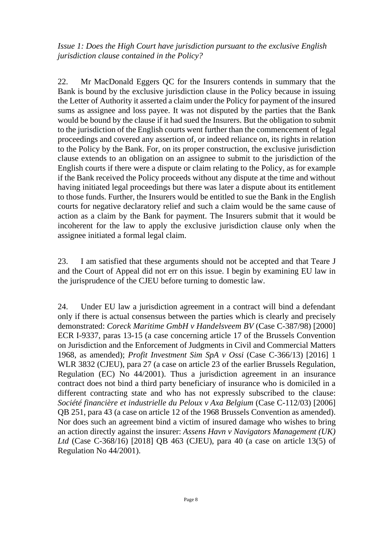*Issue 1: Does the High Court have jurisdiction pursuant to the exclusive English jurisdiction clause contained in the Policy?*

22. Mr MacDonald Eggers QC for the Insurers contends in summary that the Bank is bound by the exclusive jurisdiction clause in the Policy because in issuing the Letter of Authority it asserted a claim under the Policy for payment of the insured sums as assignee and loss payee. It was not disputed by the parties that the Bank would be bound by the clause if it had sued the Insurers. But the obligation to submit to the jurisdiction of the English courts went further than the commencement of legal proceedings and covered any assertion of, or indeed reliance on, its rights in relation to the Policy by the Bank. For, on its proper construction, the exclusive jurisdiction clause extends to an obligation on an assignee to submit to the jurisdiction of the English courts if there were a dispute or claim relating to the Policy, as for example if the Bank received the Policy proceeds without any dispute at the time and without having initiated legal proceedings but there was later a dispute about its entitlement to those funds. Further, the Insurers would be entitled to sue the Bank in the English courts for negative declaratory relief and such a claim would be the same cause of action as a claim by the Bank for payment. The Insurers submit that it would be incoherent for the law to apply the exclusive jurisdiction clause only when the assignee initiated a formal legal claim.

23. I am satisfied that these arguments should not be accepted and that Teare J and the Court of Appeal did not err on this issue. I begin by examining EU law in the jurisprudence of the CJEU before turning to domestic law.

24. Under EU law a jurisdiction agreement in a contract will bind a defendant only if there is actual consensus between the parties which is clearly and precisely demonstrated: *Coreck Maritime GmbH v Handelsveem BV* (Case C-387/98) [2000] ECR I-9337, paras 13-15 (a case concerning article 17 of the Brussels Convention on Jurisdiction and the Enforcement of Judgments in Civil and Commercial Matters 1968, as amended); *Profit Investment Sim SpA v Ossi* (Case C-366/13) [2016] 1 WLR 3832 (CJEU), para 27 (a case on article 23 of the earlier Brussels Regulation, Regulation (EC) No 44/2001). Thus a jurisdiction agreement in an insurance contract does not bind a third party beneficiary of insurance who is domiciled in a different contracting state and who has not expressly subscribed to the clause: *Société financière et industrielle du Peloux v Axa Belgium* (Case C-112/03) [2006] QB 251, para 43 (a case on article 12 of the 1968 Brussels Convention as amended). Nor does such an agreement bind a victim of insured damage who wishes to bring an action directly against the insurer: *Assens Havn v Navigators Management (UK) Ltd* (Case C-368/16) [2018] QB 463 (CJEU), para 40 (a case on article 13(5) of Regulation No 44/2001).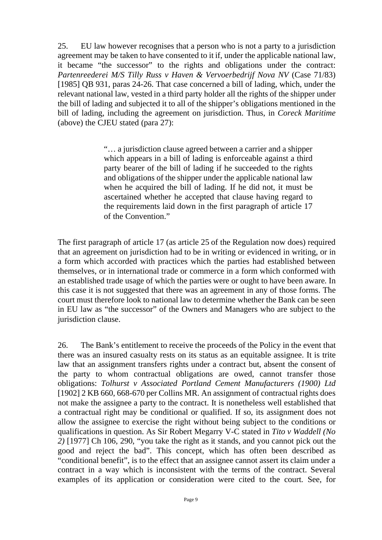25. EU law however recognises that a person who is not a party to a jurisdiction agreement may be taken to have consented to it if, under the applicable national law, it became "the successor" to the rights and obligations under the contract: *Partenreederei M/S Tilly Russ v Haven & Vervoerbedrijf Nova NV* (Case 71/83) [1985] QB 931, paras 24-26. That case concerned a bill of lading, which, under the relevant national law, vested in a third party holder all the rights of the shipper under the bill of lading and subjected it to all of the shipper's obligations mentioned in the bill of lading, including the agreement on jurisdiction. Thus, in *Coreck Maritime*  (above) the CJEU stated (para 27):

> "… a jurisdiction clause agreed between a carrier and a shipper which appears in a bill of lading is enforceable against a third party bearer of the bill of lading if he succeeded to the rights and obligations of the shipper under the applicable national law when he acquired the bill of lading. If he did not, it must be ascertained whether he accepted that clause having regard to the requirements laid down in the first paragraph of article 17 of the Convention."

The first paragraph of article 17 (as article 25 of the Regulation now does) required that an agreement on jurisdiction had to be in writing or evidenced in writing, or in a form which accorded with practices which the parties had established between themselves, or in international trade or commerce in a form which conformed with an established trade usage of which the parties were or ought to have been aware. In this case it is not suggested that there was an agreement in any of those forms. The court must therefore look to national law to determine whether the Bank can be seen in EU law as "the successor" of the Owners and Managers who are subject to the jurisdiction clause.

26. The Bank's entitlement to receive the proceeds of the Policy in the event that there was an insured casualty rests on its status as an equitable assignee. It is trite law that an assignment transfers rights under a contract but, absent the consent of the party to whom contractual obligations are owed, cannot transfer those obligations: *Tolhurst v Associated Portland Cement Manufacturers (1900) Ltd* [1902] 2 KB 660, 668-670 per Collins MR. An assignment of contractual rights does not make the assignee a party to the contract. It is nonetheless well established that a contractual right may be conditional or qualified. If so, its assignment does not allow the assignee to exercise the right without being subject to the conditions or qualifications in question. As Sir Robert Megarry V-C stated in *Tito v Waddell (No 2)* [1977] Ch 106, 290, "you take the right as it stands, and you cannot pick out the good and reject the bad". This concept, which has often been described as "conditional benefit", is to the effect that an assignee cannot assert its claim under a contract in a way which is inconsistent with the terms of the contract. Several examples of its application or consideration were cited to the court. See, for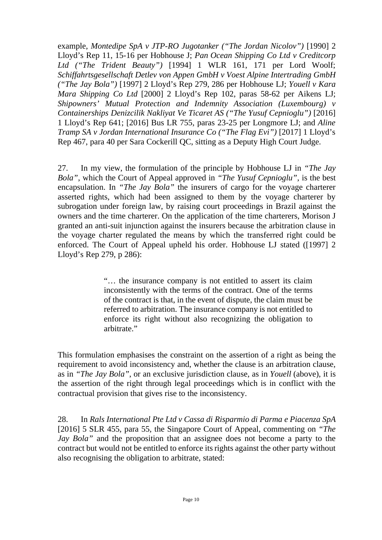example, *Montedipe SpA v JTP-RO Jugotanker ("The Jordan Nicolov")* [1990] 2 Lloyd's Rep 11, 15-16 per Hobhouse J; *Pan Ocean Shipping Co Ltd v Creditcorp Ltd ("The Trident Beauty")* [1994] 1 WLR 161, 171 per Lord Woolf; *Schiffahrtsgesellschaft Detlev von Appen GmbH v Voest Alpine Intertrading GmbH ("The Jay Bola")* [1997] 2 Lloyd's Rep 279, 286 per Hobhouse LJ; *Youell v Kara Mara Shipping Co Ltd* [2000] 2 Lloyd's Rep 102, paras 58-62 per Aikens LJ; *Shipowners' Mutual Protection and Indemnity Association (Luxembourg) v Containerships Denizcilik Nakliyat Ve Ticaret AS ("The Yusuf Cepnioglu")* [2016] 1 Lloyd's Rep 641; [2016] Bus LR 755, paras 23-25 per Longmore LJ; and *Aline Tramp SA v Jordan International Insurance Co ("The Flag Evi")* [2017] 1 Lloyd's Rep 467, para 40 per Sara Cockerill QC, sitting as a Deputy High Court Judge.

27. In my view, the formulation of the principle by Hobhouse LJ in *"The Jay Bola"*, which the Court of Appeal approved in *"The Yusuf Cepnioglu"*, is the best encapsulation. In *"The Jay Bola"* the insurers of cargo for the voyage charterer asserted rights, which had been assigned to them by the voyage charterer by subrogation under foreign law, by raising court proceedings in Brazil against the owners and the time charterer. On the application of the time charterers, Morison J granted an anti-suit injunction against the insurers because the arbitration clause in the voyage charter regulated the means by which the transferred right could be enforced. The Court of Appeal upheld his order. Hobhouse LJ stated ([1997] 2 Lloyd's Rep 279, p 286):

> "… the insurance company is not entitled to assert its claim inconsistently with the terms of the contract. One of the terms of the contract is that, in the event of dispute, the claim must be referred to arbitration. The insurance company is not entitled to enforce its right without also recognizing the obligation to arbitrate."

This formulation emphasises the constraint on the assertion of a right as being the requirement to avoid inconsistency and, whether the clause is an arbitration clause, as in *"The Jay Bola"*, or an exclusive jurisdiction clause, as in *Youell* (above), it is the assertion of the right through legal proceedings which is in conflict with the contractual provision that gives rise to the inconsistency.

28. In *Rals International Pte Ltd v Cassa di Risparmio di Parma e Piacenza SpA* [2016] 5 SLR 455, para 55, the Singapore Court of Appeal, commenting on *"The Jay Bola*" and the proposition that an assignee does not become a party to the contract but would not be entitled to enforce its rights against the other party without also recognising the obligation to arbitrate, stated: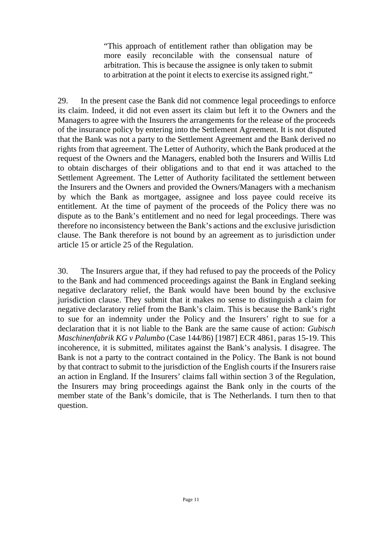"This approach of entitlement rather than obligation may be more easily reconcilable with the consensual nature of arbitration. This is because the assignee is only taken to submit to arbitration at the point it elects to exercise its assigned right."

29. In the present case the Bank did not commence legal proceedings to enforce its claim. Indeed, it did not even assert its claim but left it to the Owners and the Managers to agree with the Insurers the arrangements for the release of the proceeds of the insurance policy by entering into the Settlement Agreement. It is not disputed that the Bank was not a party to the Settlement Agreement and the Bank derived no rights from that agreement. The Letter of Authority, which the Bank produced at the request of the Owners and the Managers, enabled both the Insurers and Willis Ltd to obtain discharges of their obligations and to that end it was attached to the Settlement Agreement. The Letter of Authority facilitated the settlement between the Insurers and the Owners and provided the Owners/Managers with a mechanism by which the Bank as mortgagee, assignee and loss payee could receive its entitlement. At the time of payment of the proceeds of the Policy there was no dispute as to the Bank's entitlement and no need for legal proceedings. There was therefore no inconsistency between the Bank's actions and the exclusive jurisdiction clause. The Bank therefore is not bound by an agreement as to jurisdiction under article 15 or article 25 of the Regulation.

30. The Insurers argue that, if they had refused to pay the proceeds of the Policy to the Bank and had commenced proceedings against the Bank in England seeking negative declaratory relief, the Bank would have been bound by the exclusive jurisdiction clause. They submit that it makes no sense to distinguish a claim for negative declaratory relief from the Bank's claim. This is because the Bank's right to sue for an indemnity under the Policy and the Insurers' right to sue for a declaration that it is not liable to the Bank are the same cause of action: *Gubisch Maschinenfabrik KG v Palumbo* (Case 144/86) [1987] ECR 4861, paras 15-19. This incoherence, it is submitted, militates against the Bank's analysis. I disagree. The Bank is not a party to the contract contained in the Policy. The Bank is not bound by that contract to submit to the jurisdiction of the English courts if the Insurers raise an action in England. If the Insurers' claims fall within section 3 of the Regulation, the Insurers may bring proceedings against the Bank only in the courts of the member state of the Bank's domicile, that is The Netherlands. I turn then to that question.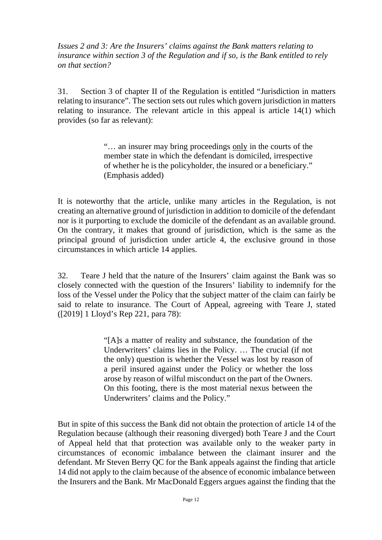*Issues 2 and 3: Are the Insurers' claims against the Bank matters relating to insurance within section 3 of the Regulation and if so, is the Bank entitled to rely on that section?*

31. Section 3 of chapter II of the Regulation is entitled "Jurisdiction in matters relating to insurance". The section sets out rules which govern jurisdiction in matters relating to insurance. The relevant article in this appeal is article 14(1) which provides (so far as relevant):

> "… an insurer may bring proceedings only in the courts of the member state in which the defendant is domiciled, irrespective of whether he is the policyholder, the insured or a beneficiary." (Emphasis added)

It is noteworthy that the article, unlike many articles in the Regulation, is not creating an alternative ground of jurisdiction in addition to domicile of the defendant nor is it purporting to exclude the domicile of the defendant as an available ground. On the contrary, it makes that ground of jurisdiction, which is the same as the principal ground of jurisdiction under article 4, the exclusive ground in those circumstances in which article 14 applies.

32. Teare J held that the nature of the Insurers' claim against the Bank was so closely connected with the question of the Insurers' liability to indemnify for the loss of the Vessel under the Policy that the subject matter of the claim can fairly be said to relate to insurance. The Court of Appeal, agreeing with Teare J, stated ([2019] 1 Lloyd's Rep 221, para 78):

> "[A]s a matter of reality and substance, the foundation of the Underwriters' claims lies in the Policy. … The crucial (if not the only) question is whether the Vessel was lost by reason of a peril insured against under the Policy or whether the loss arose by reason of wilful misconduct on the part of the Owners. On this footing, there is the most material nexus between the Underwriters' claims and the Policy."

But in spite of this success the Bank did not obtain the protection of article 14 of the Regulation because (although their reasoning diverged) both Teare J and the Court of Appeal held that that protection was available only to the weaker party in circumstances of economic imbalance between the claimant insurer and the defendant. Mr Steven Berry QC for the Bank appeals against the finding that article 14 did not apply to the claim because of the absence of economic imbalance between the Insurers and the Bank. Mr MacDonald Eggers argues against the finding that the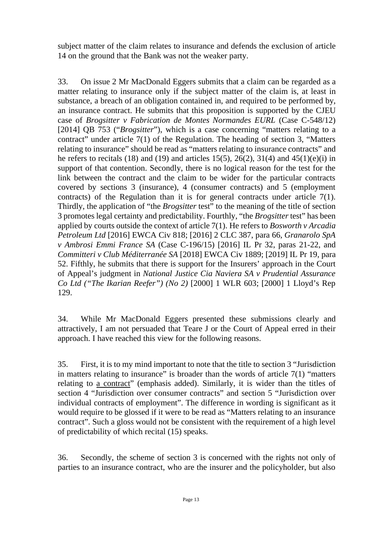subject matter of the claim relates to insurance and defends the exclusion of article 14 on the ground that the Bank was not the weaker party.

33. On issue 2 Mr MacDonald Eggers submits that a claim can be regarded as a matter relating to insurance only if the subject matter of the claim is, at least in substance, a breach of an obligation contained in, and required to be performed by, an insurance contract. He submits that this proposition is supported by the CJEU case of *Brogsitter v Fabrication de Montes Normandes EURL* (Case C-548/12) [2014] QB 753 ("*Brogsitter*"), which is a case concerning "matters relating to a contract" under article 7(1) of the Regulation. The heading of section 3, "Matters relating to insurance" should be read as "matters relating to insurance contracts" and he refers to recitals (18) and (19) and articles 15(5), 26(2), 31(4) and 45(1)(e)(i) in support of that contention. Secondly, there is no logical reason for the test for the link between the contract and the claim to be wider for the particular contracts covered by sections 3 (insurance), 4 (consumer contracts) and 5 (employment contracts) of the Regulation than it is for general contracts under article 7(1). Thirdly, the application of "the *Brogsitter* test" to the meaning of the title of section 3 promotes legal certainty and predictability. Fourthly, "the *Brogsitter* test" has been applied by courts outside the context of article 7(1). He refers to *Bosworth v Arcadia Petroleum Ltd* [2016] EWCA Civ 818; [2016] 2 CLC 387, para 66, *Granarolo SpA v Ambrosi Emmi France SA* (Case C-196/15) [2016] IL Pr 32, paras 21-22, and *Committeri v Club Méditerranée SA* [2018] EWCA Civ 1889; [2019] IL Pr 19, para 52. Fifthly, he submits that there is support for the Insurers' approach in the Court of Appeal's judgment in *National Justice Cia Naviera SA v Prudential Assurance Co Ltd ("The Ikarian Reefer") (No 2)* [2000] 1 WLR 603; [2000] 1 Lloyd's Rep 129.

34. While Mr MacDonald Eggers presented these submissions clearly and attractively, I am not persuaded that Teare J or the Court of Appeal erred in their approach. I have reached this view for the following reasons.

35. First, it is to my mind important to note that the title to section 3 "Jurisdiction in matters relating to insurance" is broader than the words of article  $7(1)$  "matters" relating to a contract" (emphasis added). Similarly, it is wider than the titles of section 4 "Jurisdiction over consumer contracts" and section 5 "Jurisdiction over individual contracts of employment". The difference in wording is significant as it would require to be glossed if it were to be read as "Matters relating to an insurance contract". Such a gloss would not be consistent with the requirement of a high level of predictability of which recital (15) speaks.

36. Secondly, the scheme of section 3 is concerned with the rights not only of parties to an insurance contract, who are the insurer and the policyholder, but also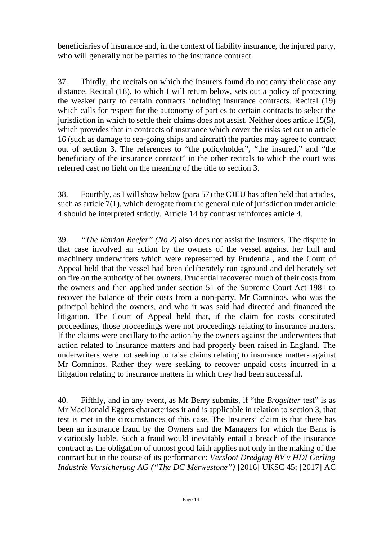beneficiaries of insurance and, in the context of liability insurance, the injured party, who will generally not be parties to the insurance contract.

37. Thirdly, the recitals on which the Insurers found do not carry their case any distance. Recital (18), to which I will return below, sets out a policy of protecting the weaker party to certain contracts including insurance contracts. Recital (19) which calls for respect for the autonomy of parties to certain contracts to select the jurisdiction in which to settle their claims does not assist. Neither does article 15(5), which provides that in contracts of insurance which cover the risks set out in article 16 (such as damage to sea-going ships and aircraft) the parties may agree to contract out of section 3. The references to "the policyholder", "the insured," and "the beneficiary of the insurance contract" in the other recitals to which the court was referred cast no light on the meaning of the title to section 3.

38. Fourthly, as I will show below (para 57) the CJEU has often held that articles, such as article 7(1), which derogate from the general rule of jurisdiction under article 4 should be interpreted strictly. Article 14 by contrast reinforces article 4.

39. *"The Ikarian Reefer" (No 2)* also does not assist the Insurers. The dispute in that case involved an action by the owners of the vessel against her hull and machinery underwriters which were represented by Prudential, and the Court of Appeal held that the vessel had been deliberately run aground and deliberately set on fire on the authority of her owners. Prudential recovered much of their costs from the owners and then applied under section 51 of the Supreme Court Act 1981 to recover the balance of their costs from a non-party, Mr Comninos, who was the principal behind the owners, and who it was said had directed and financed the litigation. The Court of Appeal held that, if the claim for costs constituted proceedings, those proceedings were not proceedings relating to insurance matters. If the claims were ancillary to the action by the owners against the underwriters that action related to insurance matters and had properly been raised in England. The underwriters were not seeking to raise claims relating to insurance matters against Mr Comninos. Rather they were seeking to recover unpaid costs incurred in a litigation relating to insurance matters in which they had been successful.

40. Fifthly, and in any event, as Mr Berry submits, if "the *Brogsitter* test" is as Mr MacDonald Eggers characterises it and is applicable in relation to section 3, that test is met in the circumstances of this case. The Insurers' claim is that there has been an insurance fraud by the Owners and the Managers for which the Bank is vicariously liable. Such a fraud would inevitably entail a breach of the insurance contract as the obligation of utmost good faith applies not only in the making of the contract but in the course of its performance: *Versloot Dredging BV v HDI Gerling Industrie Versicherung AG ("The DC Merwestone")* [2016] UKSC 45; [2017] AC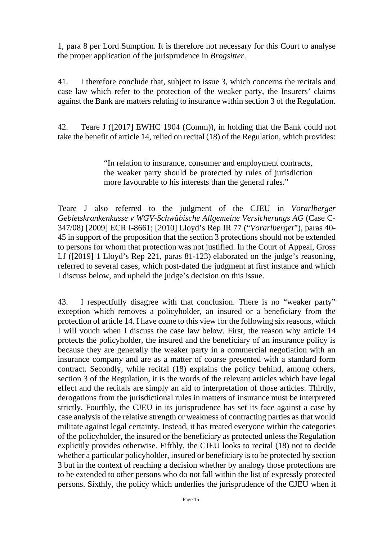1, para 8 per Lord Sumption. It is therefore not necessary for this Court to analyse the proper application of the jurisprudence in *Brogsitter*.

41. I therefore conclude that, subject to issue 3, which concerns the recitals and case law which refer to the protection of the weaker party, the Insurers' claims against the Bank are matters relating to insurance within section 3 of the Regulation.

42. Teare J ([2017] EWHC 1904 (Comm)), in holding that the Bank could not take the benefit of article 14, relied on recital (18) of the Regulation, which provides:

> "In relation to insurance, consumer and employment contracts, the weaker party should be protected by rules of jurisdiction more favourable to his interests than the general rules."

Teare J also referred to the judgment of the CJEU in *Vorarlberger Gebietskrankenkasse v WGV-Schwäbische Allgemeine Versicherungs AG* (Case C-347/08) [2009] ECR I-8661; [2010] Lloyd's Rep IR 77 ("*Vorarlberge*r"), paras 40- 45 in support of the proposition that the section 3 protections should not be extended to persons for whom that protection was not justified. In the Court of Appeal, Gross LJ ([2019] 1 Lloyd's Rep 221, paras 81-123) elaborated on the judge's reasoning, referred to several cases, which post-dated the judgment at first instance and which I discuss below, and upheld the judge's decision on this issue.

43. I respectfully disagree with that conclusion. There is no "weaker party" exception which removes a policyholder, an insured or a beneficiary from the protection of article 14. I have come to this view for the following six reasons, which I will vouch when I discuss the case law below. First, the reason why article 14 protects the policyholder, the insured and the beneficiary of an insurance policy is because they are generally the weaker party in a commercial negotiation with an insurance company and are as a matter of course presented with a standard form contract. Secondly, while recital (18) explains the policy behind, among others, section 3 of the Regulation, it is the words of the relevant articles which have legal effect and the recitals are simply an aid to interpretation of those articles. Thirdly, derogations from the jurisdictional rules in matters of insurance must be interpreted strictly. Fourthly, the CJEU in its jurisprudence has set its face against a case by case analysis of the relative strength or weakness of contracting parties as that would militate against legal certainty. Instead, it has treated everyone within the categories of the policyholder, the insured or the beneficiary as protected unless the Regulation explicitly provides otherwise. Fifthly, the CJEU looks to recital (18) not to decide whether a particular policyholder, insured or beneficiary is to be protected by section 3 but in the context of reaching a decision whether by analogy those protections are to be extended to other persons who do not fall within the list of expressly protected persons. Sixthly, the policy which underlies the jurisprudence of the CJEU when it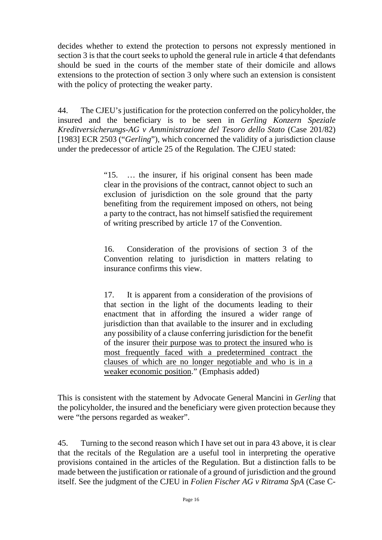decides whether to extend the protection to persons not expressly mentioned in section 3 is that the court seeks to uphold the general rule in article 4 that defendants should be sued in the courts of the member state of their domicile and allows extensions to the protection of section 3 only where such an extension is consistent with the policy of protecting the weaker party.

44. The CJEU's justification for the protection conferred on the policyholder, the insured and the beneficiary is to be seen in *Gerling Konzern Speziale Kreditversicherungs-AG v Amministrazione del Tesoro dello Stato* (Case 201/82) [1983] ECR 2503 ("*Gerling*"), which concerned the validity of a jurisdiction clause under the predecessor of article 25 of the Regulation. The CJEU stated:

> "15. … the insurer, if his original consent has been made clear in the provisions of the contract, cannot object to such an exclusion of jurisdiction on the sole ground that the party benefiting from the requirement imposed on others, not being a party to the contract, has not himself satisfied the requirement of writing prescribed by article 17 of the Convention.

> 16. Consideration of the provisions of section 3 of the Convention relating to jurisdiction in matters relating to insurance confirms this view.

> 17. It is apparent from a consideration of the provisions of that section in the light of the documents leading to their enactment that in affording the insured a wider range of jurisdiction than that available to the insurer and in excluding any possibility of a clause conferring jurisdiction for the benefit of the insurer their purpose was to protect the insured who is most frequently faced with a predetermined contract the clauses of which are no longer negotiable and who is in a weaker economic position." (Emphasis added)

This is consistent with the statement by Advocate General Mancini in *Gerling* that the policyholder, the insured and the beneficiary were given protection because they were "the persons regarded as weaker".

45. Turning to the second reason which I have set out in para 43 above, it is clear that the recitals of the Regulation are a useful tool in interpreting the operative provisions contained in the articles of the Regulation. But a distinction falls to be made between the justification or rationale of a ground of jurisdiction and the ground itself. See the judgment of the CJEU in *Folien Fischer AG v Ritrama SpA* (Case C-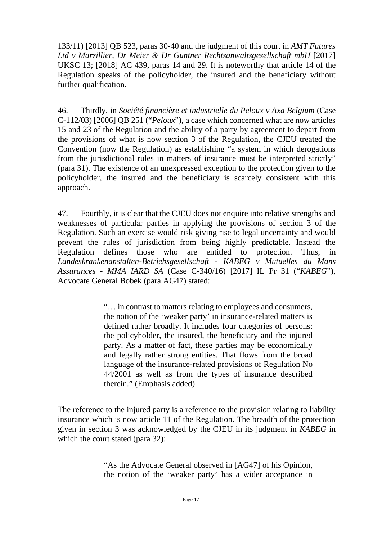133/11) [2013] QB 523, paras 30-40 and the judgment of this court in *AMT Futures Ltd v Marzillier, Dr Meier & Dr Guntner Rechtsanwaltsgesellschaft mbH* [2017] UKSC 13; [2018] AC 439, paras 14 and 29. It is noteworthy that article 14 of the Regulation speaks of the policyholder, the insured and the beneficiary without further qualification.

46. Thirdly, in *Société financière et industrielle du Peloux v Axa Belgium* (Case C-112/03) [2006] QB 251 ("*Peloux*"), a case which concerned what are now articles 15 and 23 of the Regulation and the ability of a party by agreement to depart from the provisions of what is now section 3 of the Regulation, the CJEU treated the Convention (now the Regulation) as establishing "a system in which derogations from the jurisdictional rules in matters of insurance must be interpreted strictly" (para 31). The existence of an unexpressed exception to the protection given to the policyholder, the insured and the beneficiary is scarcely consistent with this approach.

47. Fourthly, it is clear that the CJEU does not enquire into relative strengths and weaknesses of particular parties in applying the provisions of section 3 of the Regulation. Such an exercise would risk giving rise to legal uncertainty and would prevent the rules of jurisdiction from being highly predictable. Instead the Regulation defines those who are entitled to protection. Thus, in *Landeskrankenanstalten-Betriebsgesellschaft - KABEG v Mutuelles du Mans Assurances - MMA IARD SA* (Case C-340/16) [2017] IL Pr 31 ("*KABEG*"), Advocate General Bobek (para AG47) stated:

> "… in contrast to matters relating to employees and consumers, the notion of the 'weaker party' in insurance-related matters is defined rather broadly. It includes four categories of persons: the policyholder, the insured, the beneficiary and the injured party. As a matter of fact, these parties may be economically and legally rather strong entities. That flows from the broad language of the insurance-related provisions of Regulation No 44/2001 as well as from the types of insurance described therein." (Emphasis added)

The reference to the injured party is a reference to the provision relating to liability insurance which is now article 11 of the Regulation. The breadth of the protection given in section 3 was acknowledged by the CJEU in its judgment in *KABEG* in which the court stated (para 32):

> "As the Advocate General observed in [AG47] of his Opinion, the notion of the 'weaker party' has a wider acceptance in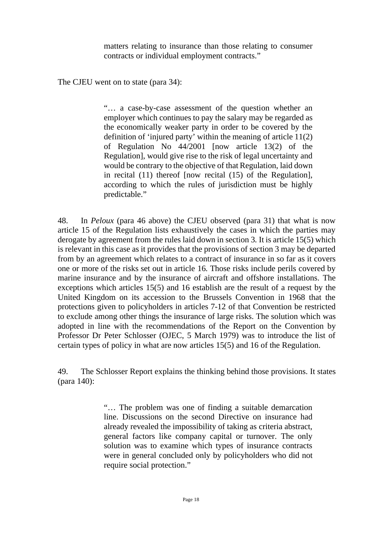matters relating to insurance than those relating to consumer contracts or individual employment contracts."

The CJEU went on to state (para 34):

"… a case-by-case assessment of the question whether an employer which continues to pay the salary may be regarded as the economically weaker party in order to be covered by the definition of 'injured party' within the meaning of article 11(2) of Regulation No 44/2001 [now article 13(2) of the Regulation], would give rise to the risk of legal uncertainty and would be contrary to the objective of that Regulation, laid down in recital (11) thereof [now recital (15) of the Regulation], according to which the rules of jurisdiction must be highly predictable."

48. In *Peloux* (para 46 above) the CJEU observed (para 31) that what is now article 15 of the Regulation lists exhaustively the cases in which the parties may derogate by agreement from the rules laid down in section 3. It is article 15(5) which is relevant in this case as it provides that the provisions of section 3 may be departed from by an agreement which relates to a contract of insurance in so far as it covers one or more of the risks set out in article 16. Those risks include perils covered by marine insurance and by the insurance of aircraft and offshore installations. The exceptions which articles 15(5) and 16 establish are the result of a request by the United Kingdom on its accession to the Brussels Convention in 1968 that the protections given to policyholders in articles 7-12 of that Convention be restricted to exclude among other things the insurance of large risks. The solution which was adopted in line with the recommendations of the Report on the Convention by Professor Dr Peter Schlosser (OJEC, 5 March 1979) was to introduce the list of certain types of policy in what are now articles 15(5) and 16 of the Regulation.

49. The Schlosser Report explains the thinking behind those provisions. It states (para 140):

> "… The problem was one of finding a suitable demarcation line. Discussions on the second Directive on insurance had already revealed the impossibility of taking as criteria abstract, general factors like company capital or turnover. The only solution was to examine which types of insurance contracts were in general concluded only by policyholders who did not require social protection."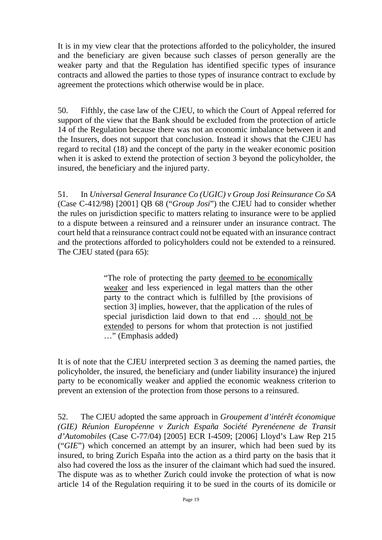It is in my view clear that the protections afforded to the policyholder, the insured and the beneficiary are given because such classes of person generally are the weaker party and that the Regulation has identified specific types of insurance contracts and allowed the parties to those types of insurance contract to exclude by agreement the protections which otherwise would be in place.

50. Fifthly, the case law of the CJEU, to which the Court of Appeal referred for support of the view that the Bank should be excluded from the protection of article 14 of the Regulation because there was not an economic imbalance between it and the Insurers, does not support that conclusion. Instead it shows that the CJEU has regard to recital (18) and the concept of the party in the weaker economic position when it is asked to extend the protection of section 3 beyond the policyholder, the insured, the beneficiary and the injured party.

51. In *Universal General Insurance Co (UGIC) v Group Josi Reinsurance Co SA* (Case C-412/98) [2001] QB 68 ("*Group Josi*") the CJEU had to consider whether the rules on jurisdiction specific to matters relating to insurance were to be applied to a dispute between a reinsured and a reinsurer under an insurance contract. The court held that a reinsurance contract could not be equated with an insurance contract and the protections afforded to policyholders could not be extended to a reinsured. The CJEU stated (para 65):

> "The role of protecting the party deemed to be economically weaker and less experienced in legal matters than the other party to the contract which is fulfilled by [the provisions of section 3] implies, however, that the application of the rules of special jurisdiction laid down to that end … should not be extended to persons for whom that protection is not justified …" (Emphasis added)

It is of note that the CJEU interpreted section 3 as deeming the named parties, the policyholder, the insured, the beneficiary and (under liability insurance) the injured party to be economically weaker and applied the economic weakness criterion to prevent an extension of the protection from those persons to a reinsured.

52. The CJEU adopted the same approach in *Groupement d'intérêt économique (GIE) Réunion Européenne v Zurich España Société Pyrenéenene de Transit d'Automobiles* (Case C-77/04) [2005] ECR I-4509; [2006] Lloyd's Law Rep 215 ("*GIE*") which concerned an attempt by an insurer, which had been sued by its insured, to bring Zurich España into the action as a third party on the basis that it also had covered the loss as the insurer of the claimant which had sued the insured. The dispute was as to whether Zurich could invoke the protection of what is now article 14 of the Regulation requiring it to be sued in the courts of its domicile or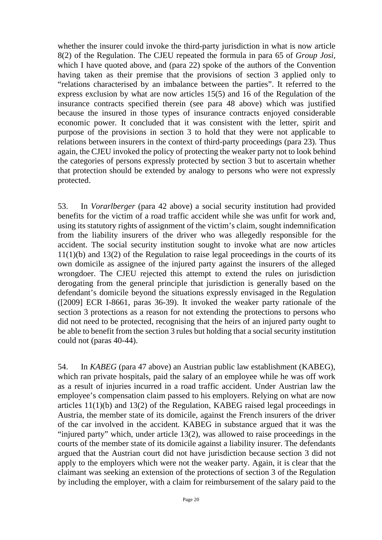whether the insurer could invoke the third-party jurisdiction in what is now article 8(2) of the Regulation. The CJEU repeated the formula in para 65 of *Group Josi*, which I have quoted above, and (para 22) spoke of the authors of the Convention having taken as their premise that the provisions of section 3 applied only to "relations characterised by an imbalance between the parties". It referred to the express exclusion by what are now articles 15(5) and 16 of the Regulation of the insurance contracts specified therein (see para 48 above) which was justified because the insured in those types of insurance contracts enjoyed considerable economic power. It concluded that it was consistent with the letter, spirit and purpose of the provisions in section 3 to hold that they were not applicable to relations between insurers in the context of third-party proceedings (para 23). Thus again, the CJEU invoked the policy of protecting the weaker party not to look behind the categories of persons expressly protected by section 3 but to ascertain whether that protection should be extended by analogy to persons who were not expressly protected.

53. In *Vorarlberger* (para 42 above) a social security institution had provided benefits for the victim of a road traffic accident while she was unfit for work and, using its statutory rights of assignment of the victim's claim, sought indemnification from the liability insurers of the driver who was allegedly responsible for the accident. The social security institution sought to invoke what are now articles 11(1)(b) and 13(2) of the Regulation to raise legal proceedings in the courts of its own domicile as assignee of the injured party against the insurers of the alleged wrongdoer. The CJEU rejected this attempt to extend the rules on jurisdiction derogating from the general principle that jurisdiction is generally based on the defendant's domicile beyond the situations expressly envisaged in the Regulation ([2009] ECR I-8661, paras 36-39). It invoked the weaker party rationale of the section 3 protections as a reason for not extending the protections to persons who did not need to be protected, recognising that the heirs of an injured party ought to be able to benefit from the section 3 rules but holding that a social security institution could not (paras 40-44).

54. In *KABEG* (para 47 above) an Austrian public law establishment (KABEG), which ran private hospitals, paid the salary of an employee while he was off work as a result of injuries incurred in a road traffic accident. Under Austrian law the employee's compensation claim passed to his employers. Relying on what are now articles 11(1)(b) and 13(2) of the Regulation, KABEG raised legal proceedings in Austria, the member state of its domicile, against the French insurers of the driver of the car involved in the accident. KABEG in substance argued that it was the "injured party" which, under article 13(2), was allowed to raise proceedings in the courts of the member state of its domicile against a liability insurer. The defendants argued that the Austrian court did not have jurisdiction because section 3 did not apply to the employers which were not the weaker party. Again, it is clear that the claimant was seeking an extension of the protections of section 3 of the Regulation by including the employer, with a claim for reimbursement of the salary paid to the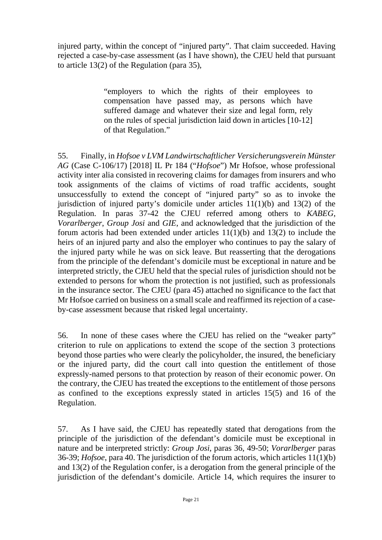injured party, within the concept of "injured party". That claim succeeded. Having rejected a case-by-case assessment (as I have shown), the CJEU held that pursuant to article 13(2) of the Regulation (para 35),

> "employers to which the rights of their employees to compensation have passed may, as persons which have suffered damage and whatever their size and legal form, rely on the rules of special jurisdiction laid down in articles [10-12] of that Regulation."

55. Finally, in *Hofsoe v LVM Landwirtschaftlicher Versicherungsverein Münster AG* (Case C-106/17) [2018] IL Pr 184 ("*Hofsoe*") Mr Hofsoe, whose professional activity inter alia consisted in recovering claims for damages from insurers and who took assignments of the claims of victims of road traffic accidents, sought unsuccessfully to extend the concept of "injured party" so as to invoke the jurisdiction of injured party's domicile under articles  $11(1)(b)$  and  $13(2)$  of the Regulation. In paras 37-42 the CJEU referred among others to *KABEG*, *Vorarlberger*, *Group Josi* and *GIE*, and acknowledged that the jurisdiction of the forum actoris had been extended under articles 11(1)(b) and 13(2) to include the heirs of an injured party and also the employer who continues to pay the salary of the injured party while he was on sick leave. But reasserting that the derogations from the principle of the defendant's domicile must be exceptional in nature and be interpreted strictly, the CJEU held that the special rules of jurisdiction should not be extended to persons for whom the protection is not justified, such as professionals in the insurance sector. The CJEU (para 45) attached no significance to the fact that Mr Hofsoe carried on business on a small scale and reaffirmed its rejection of a caseby-case assessment because that risked legal uncertainty.

56. In none of these cases where the CJEU has relied on the "weaker party" criterion to rule on applications to extend the scope of the section 3 protections beyond those parties who were clearly the policyholder, the insured, the beneficiary or the injured party, did the court call into question the entitlement of those expressly-named persons to that protection by reason of their economic power. On the contrary, the CJEU has treated the exceptions to the entitlement of those persons as confined to the exceptions expressly stated in articles 15(5) and 16 of the Regulation.

57. As I have said, the CJEU has repeatedly stated that derogations from the principle of the jurisdiction of the defendant's domicile must be exceptional in nature and be interpreted strictly: *Group Josi*, paras 36, 49-50; *Vorarlberger* paras 36-39; *Hofsoe*, para 40. The jurisdiction of the forum actoris, which articles 11(1)(b) and 13(2) of the Regulation confer, is a derogation from the general principle of the jurisdiction of the defendant's domicile. Article 14, which requires the insurer to